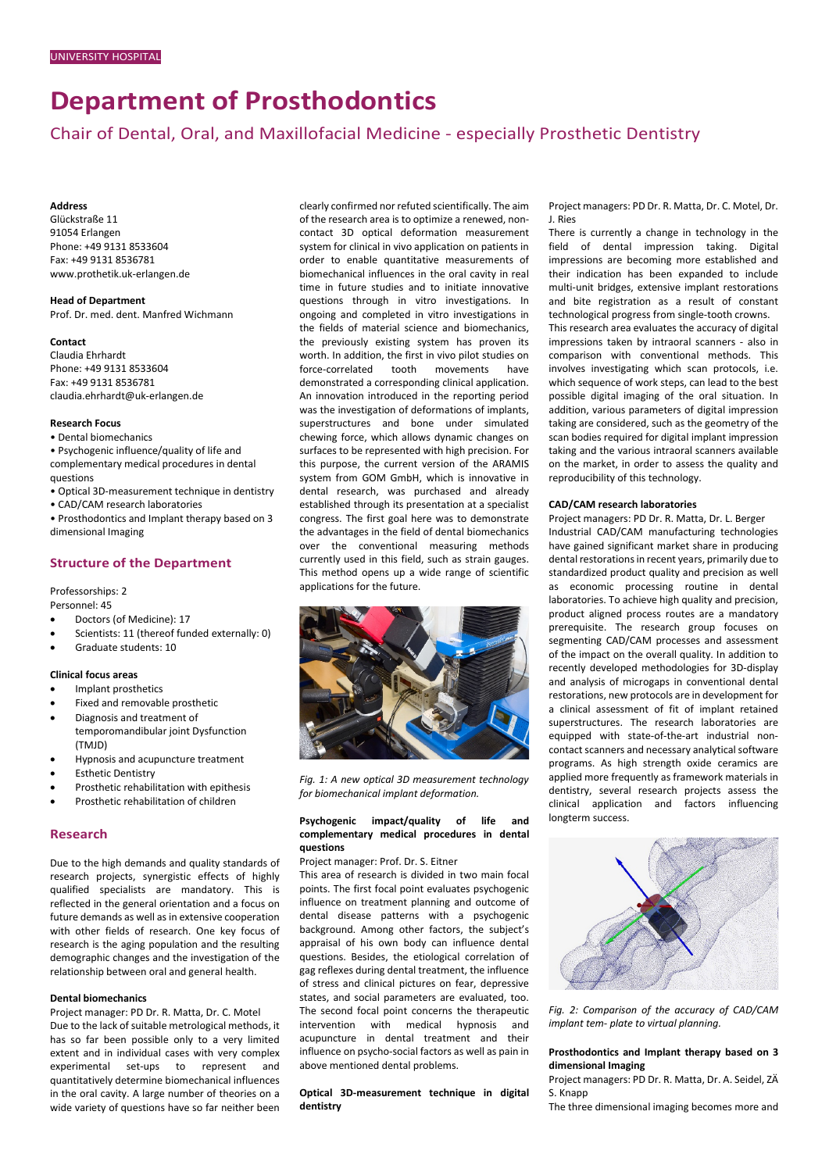# **Department of Prosthodontics**

Chair of Dental, Oral, and Maxillofacial Medicine - especially Prosthetic Dentistry

#### **Address**

Glückstraße 11 91054 Erlangen Phone: +49 9131 8533604 Fax: +49 9131 8536781 www.prothetik.uk-erlangen.de

**Head of Department** Prof. Dr. med. dent. Manfred Wichmann

#### **Contact**

Claudia Ehrhardt Phone: +49 9131 8533604 Fax: +49 9131 8536781 claudia.ehrhardt@uk-erlangen.de

## **Research Focus**

• Dental biomechanics

• Psychogenic influence/quality of life and complementary medical procedures in dental questions

• Optical 3D-measurement technique in dentistry

• CAD/CAM research laboratories

• Prosthodontics and Implant therapy based on 3 dimensional Imaging

## **Structure of the Department**

Professorships: 2

Personnel: 45

- Doctors (of Medicine): 17
- Scientists: 11 (thereof funded externally: 0)
- Graduate students: 10

## **Clinical focus areas**

- Implant prosthetics
- Fixed and removable prosthetic
- Diagnosis and treatment of temporomandibular joint Dysfunction (TMJD)
- Hypnosis and acupuncture treatment
- **Esthetic Dentistry**
- Prosthetic rehabilitation with epithesis
- Prosthetic rehabilitation of children

#### **Research**

Due to the high demands and quality standards of research projects, synergistic effects of highly qualified specialists are mandatory. This is reflected in the general orientation and a focus on future demands as well as in extensive cooperation with other fields of research. One key focus of research is the aging population and the resulting demographic changes and the investigation of the relationship between oral and general health.

#### **Dental biomechanics**

Project manager: PD Dr. R. Matta, Dr. C. Motel Due to the lack of suitable metrological methods, it has so far been possible only to a very limited extent and in individual cases with very complex experimental set-ups to represent and quantitatively determine biomechanical influences in the oral cavity. A large number of theories on a wide variety of questions have so far neither been

clearly confirmed nor refuted scientifically. The aim of the research area is to optimize a renewed, noncontact 3D optical deformation measurement system for clinical in vivo application on patients in order to enable quantitative measurements of biomechanical influences in the oral cavity in real time in future studies and to initiate innovative questions through in vitro investigations. In ongoing and completed in vitro investigations in the fields of material science and biomechanics, the previously existing system has proven its worth. In addition, the first in vivo pilot studies on force-correlated tooth movements have demonstrated a corresponding clinical application. An innovation introduced in the reporting period was the investigation of deformations of implants, superstructures and bone under simulated chewing force, which allows dynamic changes on surfaces to be represented with high precision. For this purpose, the current version of the ARAMIS system from GOM GmbH, which is innovative in dental research, was purchased and already established through its presentation at a specialist congress. The first goal here was to demonstrate the advantages in the field of dental biomechanics over the conventional measuring methods currently used in this field, such as strain gauges. This method opens up a wide range of scientific applications for the future.



*Fig. 1: A new optical 3D measurement technology for biomechanical implant deformation.*

## **Psychogenic impact/quality of life and complementary medical procedures in dental questions**

Project manager: Prof. Dr. S. Eitner

This area of research is divided in two main focal points. The first focal point evaluates psychogenic influence on treatment planning and outcome of dental disease patterns with a psychogenic background. Among other factors, the subject's appraisal of his own body can influence dental questions. Besides, the etiological correlation of gag reflexes during dental treatment, the influence of stress and clinical pictures on fear, depressive states, and social parameters are evaluated, too. The second focal point concerns the therapeutic intervention with medical hypnosis and acupuncture in dental treatment and their influence on psycho-social factors as well as pain in above mentioned dental problems.

**Optical 3D-measurement technique in digital dentistry** 

Project managers: PD Dr. R. Matta, Dr. C. Motel, Dr. J. Ries

There is currently a change in technology in the field of dental impression taking. Digital impressions are becoming more established and their indication has been expanded to include multi-unit bridges, extensive implant restorations and bite registration as a result of constant technological progress from single-tooth crowns. This research area evaluates the accuracy of digital impressions taken by intraoral scanners - also in comparison with conventional methods. This involves investigating which scan protocols, i.e. which sequence of work steps, can lead to the best possible digital imaging of the oral situation. In addition, various parameters of digital impression taking are considered, such as the geometry of the scan bodies required for digital implant impression taking and the various intraoral scanners available on the market, in order to assess the quality and reproducibility of this technology.

## **CAD/CAM research laboratories**

Project managers: PD Dr. R. Matta, Dr. L. Berger Industrial CAD/CAM manufacturing technologies have gained significant market share in producing dental restorations in recent years, primarily due to standardized product quality and precision as well as economic processing routine in dental laboratories. To achieve high quality and precision, product aligned process routes are a mandatory prerequisite. The research group focuses on segmenting CAD/CAM processes and assessment of the impact on the overall quality. In addition to recently developed methodologies for 3D-display and analysis of microgaps in conventional dental restorations, new protocols are in development for a clinical assessment of fit of implant retained superstructures. The research laboratories are equipped with state-of-the-art industrial noncontact scanners and necessary analytical software programs. As high strength oxide ceramics are applied more frequently as framework materials in dentistry, several research projects assess the clinical application and factors influencing longterm success.



*Fig. 2: Comparison of the accuracy of CAD/CAM implant tem- plate to virtual planning.*

## **Prosthodontics and Implant therapy based on 3 dimensional Imaging**

Project managers: PD Dr. R. Matta, Dr. A. Seidel, ZÄ S. Knapp

The three dimensional imaging becomes more and